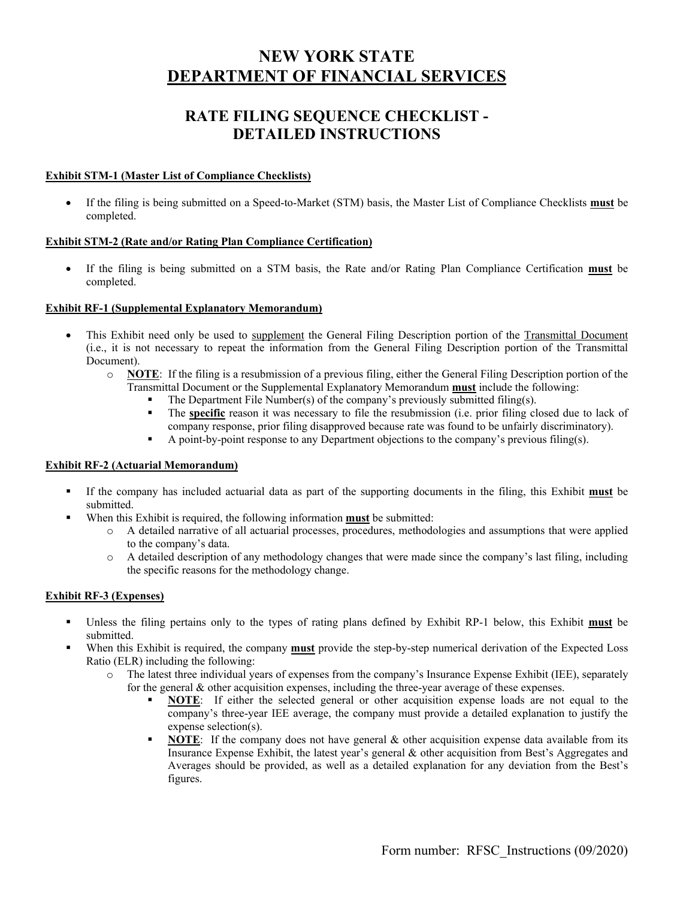# **NEW YORK STATE DEPARTMENT OF FINANCIAL SERVICES**

# **RATE FILING SEQUENCE CHECKLIST - DETAILED INSTRUCTIONS**

## **Exhibit STM-1 (Master List of Compliance Checklists)**

 If the filing is being submitted on a Speed-to-Market (STM) basis, the Master List of Compliance Checklists **must** be completed.

## **Exhibit STM-2 (Rate and/or Rating Plan Compliance Certification)**

 If the filing is being submitted on a STM basis, the Rate and/or Rating Plan Compliance Certification **must** be completed.

## **Exhibit RF-1 (Supplemental Explanatory Memorandum)**

- This Exhibit need only be used to supplement the General Filing Description portion of the Transmittal Document (i.e., it is not necessary to repeat the information from the General Filing Description portion of the Transmittal Document).
	- o **NOTE**: If the filing is a resubmission of a previous filing, either the General Filing Description portion of the Transmittal Document or the Supplemental Explanatory Memorandum **must** include the following:
		- The Department File Number(s) of the company's previously submitted filing(s).
		- The **specific** reason it was necessary to file the resubmission (i.e. prior filing closed due to lack of company response, prior filing disapproved because rate was found to be unfairly discriminatory).
		- A point-by-point response to any Department objections to the company's previous filing(s).

## **Exhibit RF-2 (Actuarial Memorandum)**

- If the company has included actuarial data as part of the supporting documents in the filing, this Exhibit **must** be submitted.
	- When this Exhibit is required, the following information **must** be submitted:
		- o A detailed narrative of all actuarial processes, procedures, methodologies and assumptions that were applied to the company's data.
		- o A detailed description of any methodology changes that were made since the company's last filing, including the specific reasons for the methodology change.

## **Exhibit RF-3 (Expenses)**

- Unless the filing pertains only to the types of rating plans defined by Exhibit RP-1 below, this Exhibit **must** be submitted.
- When this Exhibit is required, the company **must** provide the step-by-step numerical derivation of the Expected Loss Ratio (ELR) including the following:
	- o The latest three individual years of expenses from the company's Insurance Expense Exhibit (IEE), separately for the general & other acquisition expenses, including the three-year average of these expenses.
		- **NOTE**: If either the selected general or other acquisition expense loads are not equal to the company's three-year IEE average, the company must provide a detailed explanation to justify the expense selection(s).
		- **NOTE:** If the company does not have general & other acquisition expense data available from its Insurance Expense Exhibit, the latest year's general & other acquisition from Best's Aggregates and Averages should be provided, as well as a detailed explanation for any deviation from the Best's figures.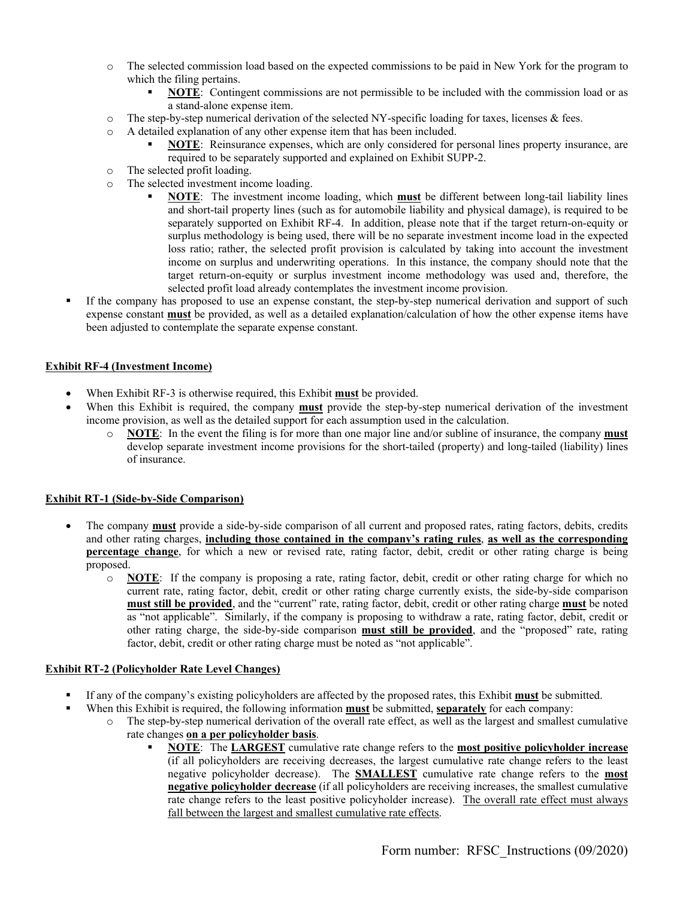- o The selected commission load based on the expected commissions to be paid in New York for the program to which the filing pertains.
	- **NOTE**: Contingent commissions are not permissible to be included with the commission load or as a stand-alone expense item.
- o The step-by-step numerical derivation of the selected NY-specific loading for taxes, licenses & fees.
- o A detailed explanation of any other expense item that has been included.
	- **NOTE**: Reinsurance expenses, which are only considered for personal lines property insurance, are required to be separately supported and explained on Exhibit SUPP-2.
- o The selected profit loading.
- o The selected investment income loading.
	- **NOTE**: The investment income loading, which **must** be different between long-tail liability lines and short-tail property lines (such as for automobile liability and physical damage), is required to be separately supported on Exhibit RF-4. In addition, please note that if the target return-on-equity or surplus methodology is being used, there will be no separate investment income load in the expected loss ratio; rather, the selected profit provision is calculated by taking into account the investment income on surplus and underwriting operations. In this instance, the company should note that the target return-on-equity or surplus investment income methodology was used and, therefore, the selected profit load already contemplates the investment income provision.
- If the company has proposed to use an expense constant, the step-by-step numerical derivation and support of such expense constant **must** be provided, as well as a detailed explanation/calculation of how the other expense items have been adjusted to contemplate the separate expense constant.

## **Exhibit RF-4 (Investment Income)**

- When Exhibit RF-3 is otherwise required, this Exhibit **must** be provided.
- When this Exhibit is required, the company **must** provide the step-by-step numerical derivation of the investment income provision, as well as the detailed support for each assumption used in the calculation.
	- o **NOTE**: In the event the filing is for more than one major line and/or subline of insurance, the company **must**  develop separate investment income provisions for the short-tailed (property) and long-tailed (liability) lines of insurance.

## **Exhibit RT-1 (Side-by-Side Comparison)**

- The company **must** provide a side-by-side comparison of all current and proposed rates, rating factors, debits, credits and other rating charges, **including those contained in the company's rating rules**, **as well as the corresponding percentage change**, for which a new or revised rate, rating factor, debit, credit or other rating charge is being proposed.
	- o **NOTE**: If the company is proposing a rate, rating factor, debit, credit or other rating charge for which no current rate, rating factor, debit, credit or other rating charge currently exists, the side-by-side comparison **must still be provided**, and the "current" rate, rating factor, debit, credit or other rating charge **must** be noted as "not applicable". Similarly, if the company is proposing to withdraw a rate, rating factor, debit, credit or other rating charge, the side-by-side comparison **must still be provided**, and the "proposed" rate, rating factor, debit, credit or other rating charge must be noted as "not applicable".

## **Exhibit RT-2 (Policyholder Rate Level Changes)**

- If any of the company's existing policyholders are affected by the proposed rates, this Exhibit **must** be submitted.
	- When this Exhibit is required, the following information **must** be submitted, **separately** for each company:
		- o The step-by-step numerical derivation of the overall rate effect, as well as the largest and smallest cumulative rate changes **on a per policyholder basis**.
			- **NOTE**: The **LARGEST** cumulative rate change refers to the **most positive policyholder increase**  (if all policyholders are receiving decreases, the largest cumulative rate change refers to the least negative policyholder decrease). The **SMALLEST** cumulative rate change refers to the **most negative policyholder decrease** (if all policyholders are receiving increases, the smallest cumulative rate change refers to the least positive policyholder increase). The overall rate effect must always fall between the largest and smallest cumulative rate effects.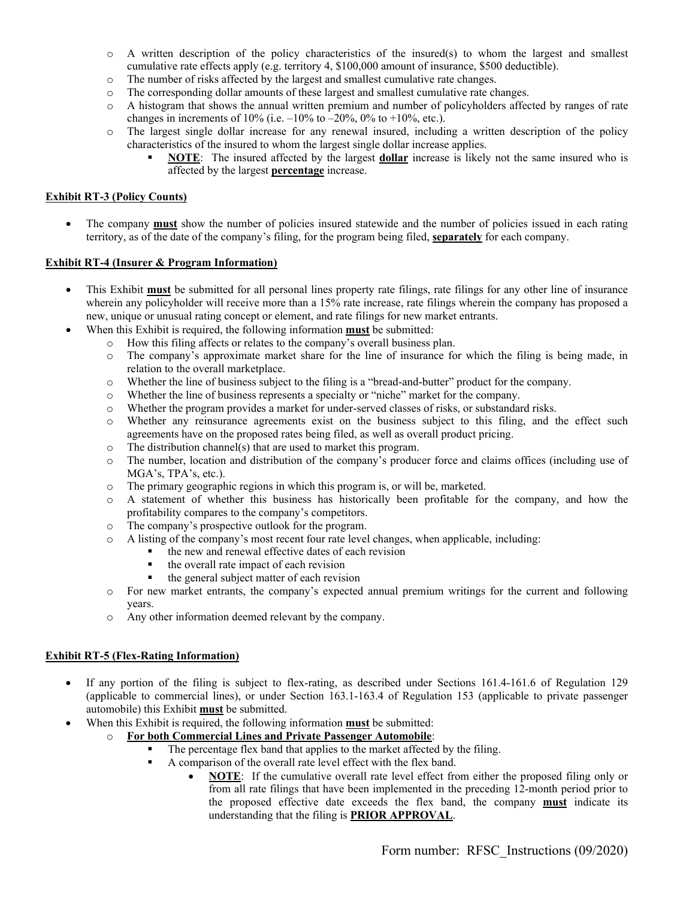- $\circ$  A written description of the policy characteristics of the insured(s) to whom the largest and smallest cumulative rate effects apply (e.g. territory 4, \$100,000 amount of insurance, \$500 deductible).
- o The number of risks affected by the largest and smallest cumulative rate changes.
- o The corresponding dollar amounts of these largest and smallest cumulative rate changes.
- o A histogram that shows the annual written premium and number of policyholders affected by ranges of rate changes in increments of 10% (i.e.  $-10\%$  to  $-20\%$ , 0% to  $+10\%$ , etc.).
- o The largest single dollar increase for any renewal insured, including a written description of the policy characteristics of the insured to whom the largest single dollar increase applies.
	- **NOTE**: The insured affected by the largest **dollar** increase is likely not the same insured who is affected by the largest **percentage** increase.

## **Exhibit RT-3 (Policy Counts)**

• The company **must** show the number of policies insured statewide and the number of policies issued in each rating territory, as of the date of the company's filing, for the program being filed, **separately** for each company.

## **Exhibit RT-4 (Insurer & Program Information)**

- This Exhibit **must** be submitted for all personal lines property rate filings, rate filings for any other line of insurance wherein any policyholder will receive more than a 15% rate increase, rate filings wherein the company has proposed a new, unique or unusual rating concept or element, and rate filings for new market entrants.
	- When this Exhibit is required, the following information **must** be submitted:
		- o How this filing affects or relates to the company's overall business plan.
		- o The company's approximate market share for the line of insurance for which the filing is being made, in relation to the overall marketplace.
		- o Whether the line of business subject to the filing is a "bread-and-butter" product for the company.
		- o Whether the line of business represents a specialty or "niche" market for the company.
		- o Whether the program provides a market for under-served classes of risks, or substandard risks.
		- o Whether any reinsurance agreements exist on the business subject to this filing, and the effect such agreements have on the proposed rates being filed, as well as overall product pricing.
		- $\circ$  The distribution channel(s) that are used to market this program.
		- o The number, location and distribution of the company's producer force and claims offices (including use of MGA's, TPA's, etc.).
		- o The primary geographic regions in which this program is, or will be, marketed.
		- o A statement of whether this business has historically been profitable for the company, and how the profitability compares to the company's competitors.
		- o The company's prospective outlook for the program.
		- o A listing of the company's most recent four rate level changes, when applicable, including:
			- $\blacksquare$  the new and renewal effective dates of each revision
				- $\blacksquare$  the overall rate impact of each revision
				- $\blacksquare$  the general subject matter of each revision
		- o For new market entrants, the company's expected annual premium writings for the current and following years.
		- o Any other information deemed relevant by the company.

## **Exhibit RT-5 (Flex-Rating Information)**

- If any portion of the filing is subject to flex-rating, as described under Sections 161.4-161.6 of Regulation 129 (applicable to commercial lines), or under Section 163.1-163.4 of Regulation 153 (applicable to private passenger automobile) this Exhibit **must** be submitted.
- When this Exhibit is required, the following information **must** be submitted:
	- o **For both Commercial Lines and Private Passenger Automobile**:
		- The percentage flex band that applies to the market affected by the filing.
		- A comparison of the overall rate level effect with the flex band.
			- **NOTE**: If the cumulative overall rate level effect from either the proposed filing only or from all rate filings that have been implemented in the preceding 12-month period prior to the proposed effective date exceeds the flex band, the company **must** indicate its understanding that the filing is **PRIOR APPROVAL**.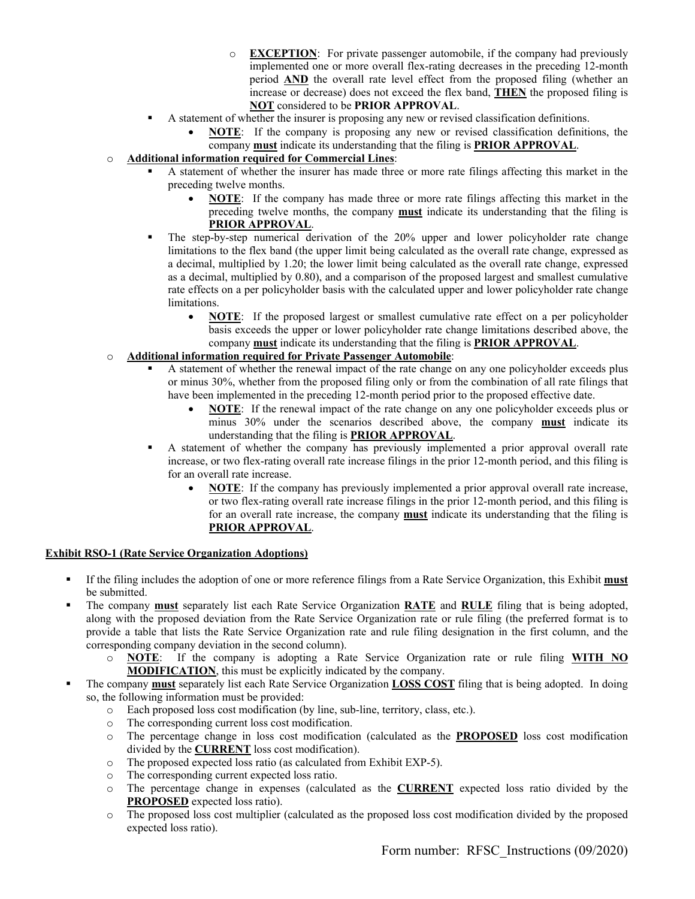- o **EXCEPTION**: For private passenger automobile, if the company had previously implemented one or more overall flex-rating decreases in the preceding 12-month period **AND** the overall rate level effect from the proposed filing (whether an increase or decrease) does not exceed the flex band, **THEN** the proposed filing is **NOT** considered to be **PRIOR APPROVAL**.
- A statement of whether the insurer is proposing any new or revised classification definitions.
	- **NOTE**: If the company is proposing any new or revised classification definitions, the company **must** indicate its understanding that the filing is **PRIOR APPROVAL**.

## o **Additional information required for Commercial Lines**:

- A statement of whether the insurer has made three or more rate filings affecting this market in the preceding twelve months.
	- **NOTE**: If the company has made three or more rate filings affecting this market in the preceding twelve months, the company **must** indicate its understanding that the filing is **PRIOR APPROVAL**.
- The step-by-step numerical derivation of the 20% upper and lower policyholder rate change limitations to the flex band (the upper limit being calculated as the overall rate change, expressed as a decimal, multiplied by 1.20; the lower limit being calculated as the overall rate change, expressed as a decimal, multiplied by 0.80), and a comparison of the proposed largest and smallest cumulative rate effects on a per policyholder basis with the calculated upper and lower policyholder rate change limitations.
	- **NOTE**: If the proposed largest or smallest cumulative rate effect on a per policyholder basis exceeds the upper or lower policyholder rate change limitations described above, the company **must** indicate its understanding that the filing is **PRIOR APPROVAL**.

# o **Additional information required for Private Passenger Automobile**:

- A statement of whether the renewal impact of the rate change on any one policyholder exceeds plus or minus 30%, whether from the proposed filing only or from the combination of all rate filings that have been implemented in the preceding 12-month period prior to the proposed effective date.
	- **NOTE**: If the renewal impact of the rate change on any one policyholder exceeds plus or minus 30% under the scenarios described above, the company **must** indicate its understanding that the filing is **PRIOR APPROVAL**.
- A statement of whether the company has previously implemented a prior approval overall rate increase, or two flex-rating overall rate increase filings in the prior 12-month period, and this filing is for an overall rate increase.
	- **NOTE**: If the company has previously implemented a prior approval overall rate increase, or two flex-rating overall rate increase filings in the prior 12-month period, and this filing is for an overall rate increase, the company **must** indicate its understanding that the filing is **PRIOR APPROVAL**.

## **Exhibit RSO-1 (Rate Service Organization Adoptions)**

- If the filing includes the adoption of one or more reference filings from a Rate Service Organization, this Exhibit **must** be submitted.
- The company **must** separately list each Rate Service Organization **RATE** and **RULE** filing that is being adopted, along with the proposed deviation from the Rate Service Organization rate or rule filing (the preferred format is to provide a table that lists the Rate Service Organization rate and rule filing designation in the first column, and the corresponding company deviation in the second column).
	- o **NOTE**: If the company is adopting a Rate Service Organization rate or rule filing **WITH NO MODIFICATION**, this must be explicitly indicated by the company.
- The company **must** separately list each Rate Service Organization **LOSS COST** filing that is being adopted. In doing so, the following information must be provided:
	- o Each proposed loss cost modification (by line, sub-line, territory, class, etc.).
	- o The corresponding current loss cost modification.
	- o The percentage change in loss cost modification (calculated as the **PROPOSED** loss cost modification divided by the **CURRENT** loss cost modification).
	- o The proposed expected loss ratio (as calculated from Exhibit EXP-5).
	- o The corresponding current expected loss ratio.
	- o The percentage change in expenses (calculated as the **CURRENT** expected loss ratio divided by the **PROPOSED** expected loss ratio).
	- o The proposed loss cost multiplier (calculated as the proposed loss cost modification divided by the proposed expected loss ratio).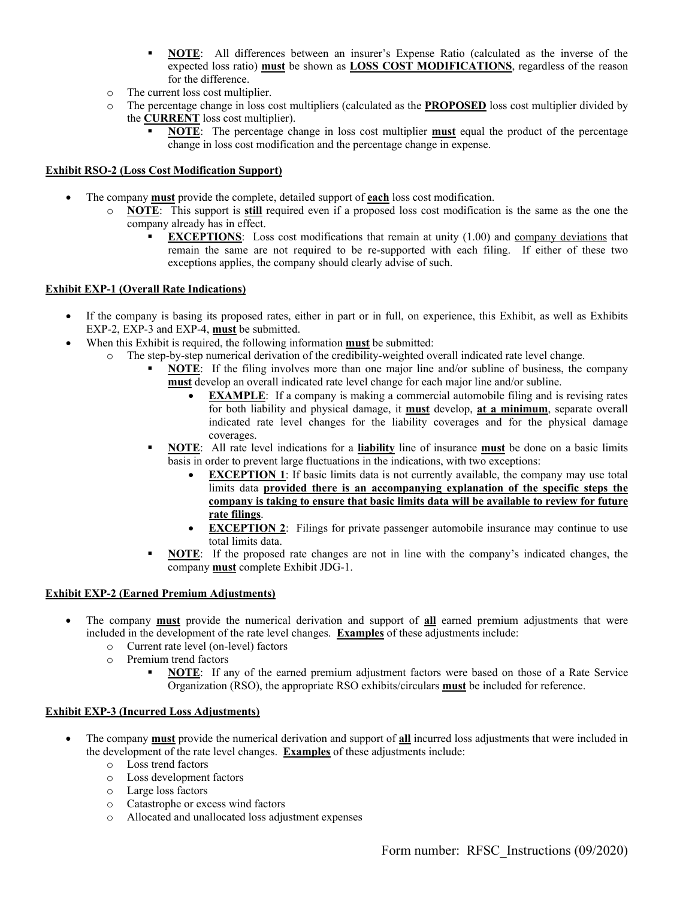- **NOTE**: All differences between an insurer's Expense Ratio (calculated as the inverse of the expected loss ratio) **must** be shown as **LOSS COST MODIFICATIONS**, regardless of the reason for the difference.
- o The current loss cost multiplier.
- o The percentage change in loss cost multipliers (calculated as the **PROPOSED** loss cost multiplier divided by the **CURRENT** loss cost multiplier).
	- **NOTE**: The percentage change in loss cost multiplier **must** equal the product of the percentage change in loss cost modification and the percentage change in expense.

## **Exhibit RSO-2 (Loss Cost Modification Support)**

- The company **must** provide the complete, detailed support of **each** loss cost modification.
	- o **NOTE**: This support is **still** required even if a proposed loss cost modification is the same as the one the company already has in effect.
		- **EXCEPTIONS:** Loss cost modifications that remain at unity (1.00) and company deviations that remain the same are not required to be re-supported with each filing. If either of these two exceptions applies, the company should clearly advise of such.

## **Exhibit EXP-1 (Overall Rate Indications)**

- If the company is basing its proposed rates, either in part or in full, on experience, this Exhibit, as well as Exhibits EXP-2, EXP-3 and EXP-4, **must** be submitted.
- When this Exhibit is required, the following information **must** be submitted:
	- o The step-by-step numerical derivation of the credibility-weighted overall indicated rate level change.
		- **NOTE**: If the filing involves more than one major line and/or subline of business, the company **must** develop an overall indicated rate level change for each major line and/or subline.
			- **EXAMPLE**: If a company is making a commercial automobile filing and is revising rates for both liability and physical damage, it **must** develop, **at a minimum**, separate overall indicated rate level changes for the liability coverages and for the physical damage coverages.
		- **NOTE**: All rate level indications for a **liability** line of insurance **must** be done on a basic limits basis in order to prevent large fluctuations in the indications, with two exceptions:
			- **EXCEPTION 1**: If basic limits data is not currently available, the company may use total limits data **provided there is an accompanying explanation of the specific steps the company is taking to ensure that basic limits data will be available to review for future rate filings**.
			- **EXCEPTION 2**: Filings for private passenger automobile insurance may continue to use total limits data.
		- **NOTE**: If the proposed rate changes are not in line with the company's indicated changes, the company **must** complete Exhibit JDG-1.

## **Exhibit EXP-2 (Earned Premium Adjustments)**

- The company **must** provide the numerical derivation and support of **all** earned premium adjustments that were included in the development of the rate level changes. **Examples** of these adjustments include:
	- o Current rate level (on-level) factors
	- o Premium trend factors
		- **NOTE**: If any of the earned premium adjustment factors were based on those of a Rate Service Organization (RSO), the appropriate RSO exhibits/circulars **must** be included for reference.

## **Exhibit EXP-3 (Incurred Loss Adjustments)**

- The company **must** provide the numerical derivation and support of **all** incurred loss adjustments that were included in the development of the rate level changes. **Examples** of these adjustments include:
	- o Loss trend factors
	- o Loss development factors
	- o Large loss factors
	- o Catastrophe or excess wind factors
	- o Allocated and unallocated loss adjustment expenses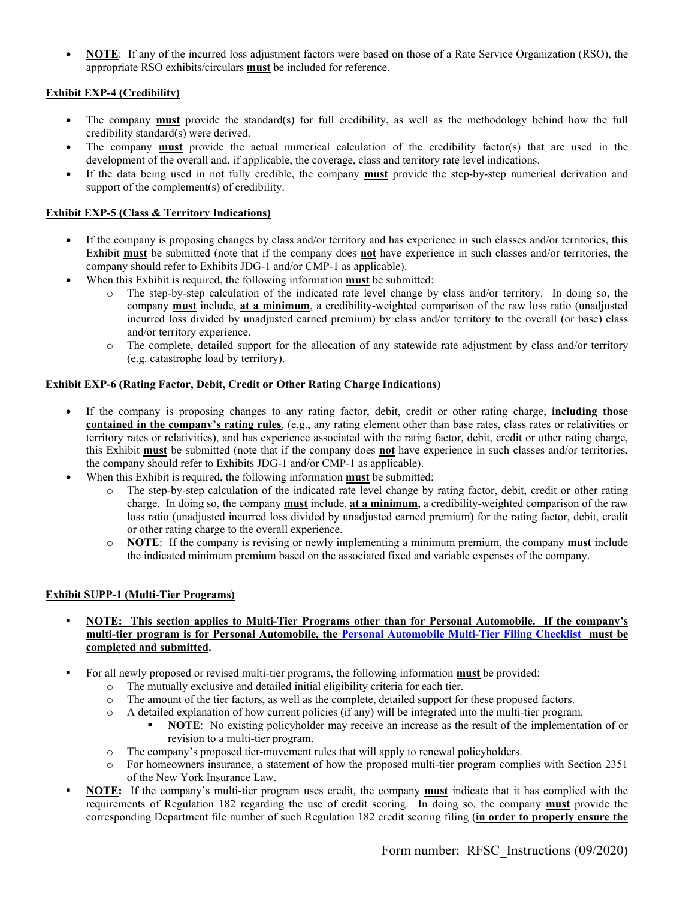**NOTE**: If any of the incurred loss adjustment factors were based on those of a Rate Service Organization (RSO), the appropriate RSO exhibits/circulars **must** be included for reference.

## **Exhibit EXP-4 (Credibility)**

- The company **must** provide the standard(s) for full credibility, as well as the methodology behind how the full credibility standard(s) were derived.
- The company **must** provide the actual numerical calculation of the credibility factor(s) that are used in the development of the overall and, if applicable, the coverage, class and territory rate level indications.
- If the data being used in not fully credible, the company **must** provide the step-by-step numerical derivation and support of the complement(s) of credibility.

## **Exhibit EXP-5 (Class & Territory Indications)**

- If the company is proposing changes by class and/or territory and has experience in such classes and/or territories, this Exhibit **must** be submitted (note that if the company does **not** have experience in such classes and/or territories, the company should refer to Exhibits JDG-1 and/or CMP-1 as applicable).
- When this Exhibit is required, the following information **must** be submitted:
	- o The step-by-step calculation of the indicated rate level change by class and/or territory. In doing so, the company **must** include, **at a minimum**, a credibility-weighted comparison of the raw loss ratio (unadjusted incurred loss divided by unadjusted earned premium) by class and/or territory to the overall (or base) class and/or territory experience.
	- o The complete, detailed support for the allocation of any statewide rate adjustment by class and/or territory (e.g. catastrophe load by territory).

#### **Exhibit EXP-6 (Rating Factor, Debit, Credit or Other Rating Charge Indications)**

- If the company is proposing changes to any rating factor, debit, credit or other rating charge, **including those contained in the company's rating rules**, (e.g., any rating element other than base rates, class rates or relativities or territory rates or relativities), and has experience associated with the rating factor, debit, credit or other rating charge, this Exhibit **must** be submitted (note that if the company does **not** have experience in such classes and/or territories, the company should refer to Exhibits JDG-1 and/or CMP-1 as applicable).
- When this Exhibit is required, the following information **must** be submitted:
	- o The step-by-step calculation of the indicated rate level change by rating factor, debit, credit or other rating charge. In doing so, the company **must** include, **at a minimum**, a credibility-weighted comparison of the raw loss ratio (unadjusted incurred loss divided by unadjusted earned premium) for the rating factor, debit, credit or other rating charge to the overall experience.
	- o **NOTE**: If the company is revising or newly implementing a minimum premium, the company **must** include the indicated minimum premium based on the associated fixed and variable expenses of the company.

#### **Exhibit SUPP-1 (Multi-Tier Programs)**

- **NOTE: This section applies to Multi-Tier Programs other than for Personal Automobile. If the company's multi-tier program is for Personal Automobile, the Personal Automobile Multi-Tier Filing Checklist must be completed and submitted.**
- For all newly proposed or revised multi-tier programs, the following information **must** be provided:
	- o The mutually exclusive and detailed initial eligibility criteria for each tier.
	- o The amount of the tier factors, as well as the complete, detailed support for these proposed factors.
	- o A detailed explanation of how current policies (if any) will be integrated into the multi-tier program.
		- **NOTE**: No existing policyholder may receive an increase as the result of the implementation of or revision to a multi-tier program.
	- o The company's proposed tier-movement rules that will apply to renewal policyholders.
	- o For homeowners insurance, a statement of how the proposed multi-tier program complies with Section 2351 of the New York Insurance Law.
- **NOTE:** If the company's multi-tier program uses credit, the company **must** indicate that it has complied with the requirements of Regulation 182 regarding the use of credit scoring. In doing so, the company **must** provide the corresponding Department file number of such Regulation 182 credit scoring filing (**in order to properly ensure the**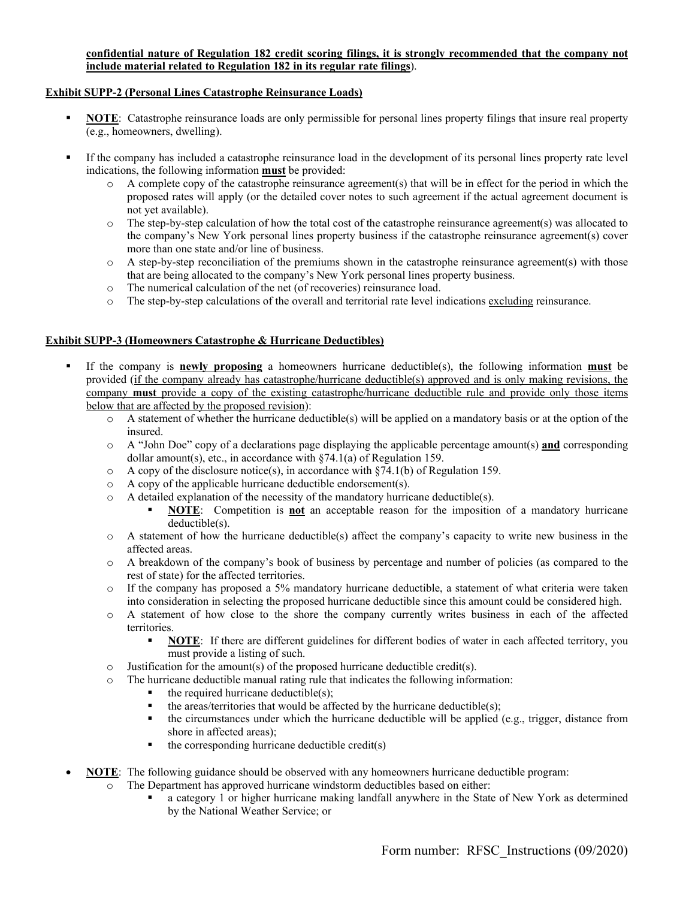## **confidential nature of Regulation 182 credit scoring filings, it is strongly recommended that the company not include material related to Regulation 182 in its regular rate filings**).

## **Exhibit SUPP-2 (Personal Lines Catastrophe Reinsurance Loads)**

- **NOTE**: Catastrophe reinsurance loads are only permissible for personal lines property filings that insure real property (e.g., homeowners, dwelling).
- If the company has included a catastrophe reinsurance load in the development of its personal lines property rate level indications, the following information **must** be provided:
	- o A complete copy of the catastrophe reinsurance agreement(s) that will be in effect for the period in which the proposed rates will apply (or the detailed cover notes to such agreement if the actual agreement document is not yet available).
	- o The step-by-step calculation of how the total cost of the catastrophe reinsurance agreement(s) was allocated to the company's New York personal lines property business if the catastrophe reinsurance agreement(s) cover more than one state and/or line of business.
	- o A step-by-step reconciliation of the premiums shown in the catastrophe reinsurance agreement(s) with those that are being allocated to the company's New York personal lines property business.
	- o The numerical calculation of the net (of recoveries) reinsurance load.
	- o The step-by-step calculations of the overall and territorial rate level indications excluding reinsurance.

## **Exhibit SUPP-3 (Homeowners Catastrophe & Hurricane Deductibles)**

- If the company is **newly proposing** a homeowners hurricane deductible(s), the following information **must** be provided (if the company already has catastrophe/hurricane deductible(s) approved and is only making revisions, the company **must** provide a copy of the existing catastrophe/hurricane deductible rule and provide only those items below that are affected by the proposed revision):
	- o A statement of whether the hurricane deductible(s) will be applied on a mandatory basis or at the option of the insured.
	- o A "John Doe" copy of a declarations page displaying the applicable percentage amount(s) **and** corresponding dollar amount(s), etc., in accordance with  $\S$ 74.1(a) of Regulation 159.
	- $\circ$  A copy of the disclosure notice(s), in accordance with §74.1(b) of Regulation 159.
	- o A copy of the applicable hurricane deductible endorsement(s).
	- o A detailed explanation of the necessity of the mandatory hurricane deductible(s).
		- **NOTE**: Competition is **not** an acceptable reason for the imposition of a mandatory hurricane deductible(s).
	- o A statement of how the hurricane deductible(s) affect the company's capacity to write new business in the affected areas.
	- o A breakdown of the company's book of business by percentage and number of policies (as compared to the rest of state) for the affected territories.
	- o If the company has proposed a 5% mandatory hurricane deductible, a statement of what criteria were taken into consideration in selecting the proposed hurricane deductible since this amount could be considered high.
	- o A statement of how close to the shore the company currently writes business in each of the affected territories.
		- **NOTE**: If there are different guidelines for different bodies of water in each affected territory, you must provide a listing of such.
	- $\circ$  Justification for the amount(s) of the proposed hurricane deductible credit(s).
	- o The hurricane deductible manual rating rule that indicates the following information:
		- the required hurricane deductible(s);
		- the areas/territories that would be affected by the hurricane deductible(s);
		- the circumstances under which the hurricane deductible will be applied (e.g., trigger, distance from shore in affected areas);
		- $\blacksquare$  the corresponding hurricane deductible credit(s)
- **NOTE**: The following guidance should be observed with any homeowners hurricane deductible program:
	- o The Department has approved hurricane windstorm deductibles based on either:
		- a category 1 or higher hurricane making landfall anywhere in the State of New York as determined by the National Weather Service; or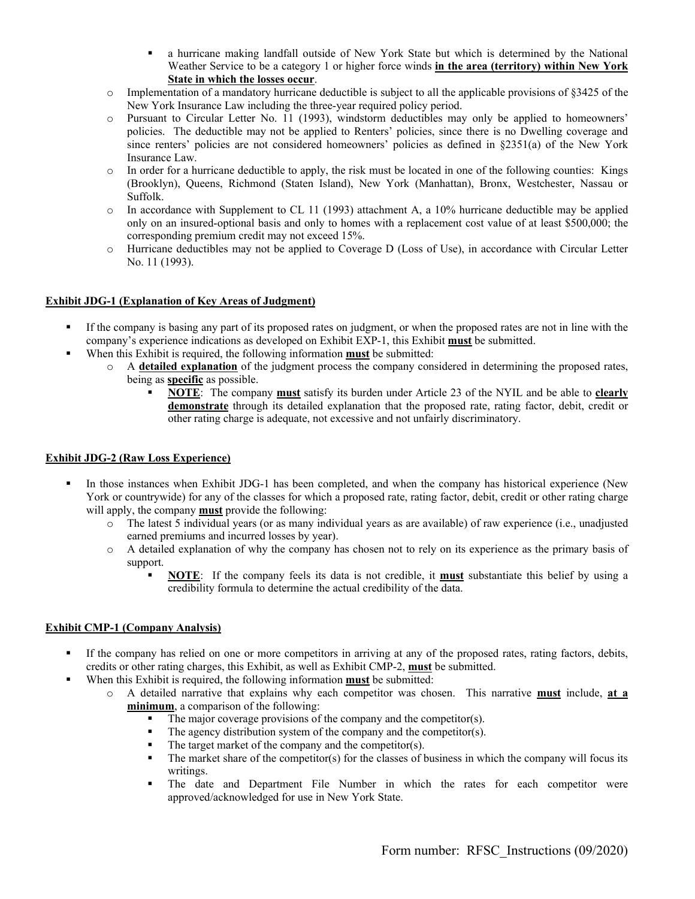- a hurricane making landfall outside of New York State but which is determined by the National Weather Service to be a category 1 or higher force winds **in the area (territory) within New York State in which the losses occur**.
- $\circ$  Implementation of a mandatory hurricane deductible is subject to all the applicable provisions of §3425 of the New York Insurance Law including the three-year required policy period.
- o Pursuant to Circular Letter No. 11 (1993), windstorm deductibles may only be applied to homeowners' policies. The deductible may not be applied to Renters' policies, since there is no Dwelling coverage and since renters' policies are not considered homeowners' policies as defined in §2351(a) of the New York Insurance Law.
- $\circ$  In order for a hurricane deductible to apply, the risk must be located in one of the following counties: Kings (Brooklyn), Queens, Richmond (Staten Island), New York (Manhattan), Bronx, Westchester, Nassau or Suffolk.
- $\circ$  In accordance with Supplement to CL 11 (1993) attachment A, a 10% hurricane deductible may be applied only on an insured-optional basis and only to homes with a replacement cost value of at least \$500,000; the corresponding premium credit may not exceed 15%.
- o Hurricane deductibles may not be applied to Coverage D (Loss of Use), in accordance with Circular Letter No. 11 (1993).

#### **Exhibit JDG-1 (Explanation of Key Areas of Judgment)**

- If the company is basing any part of its proposed rates on judgment, or when the proposed rates are not in line with the company's experience indications as developed on Exhibit EXP-1, this Exhibit **must** be submitted.
- When this Exhibit is required, the following information **must** be submitted:
	- o A **detailed explanation** of the judgment process the company considered in determining the proposed rates, being as **specific** as possible.
		- **NOTE**: The company **must** satisfy its burden under Article 23 of the NYIL and be able to **clearly demonstrate** through its detailed explanation that the proposed rate, rating factor, debit, credit or other rating charge is adequate, not excessive and not unfairly discriminatory.

## **Exhibit JDG-2 (Raw Loss Experience)**

- In those instances when Exhibit JDG-1 has been completed, and when the company has historical experience (New York or countrywide) for any of the classes for which a proposed rate, rating factor, debit, credit or other rating charge will apply, the company **must** provide the following:
	- o The latest 5 individual years (or as many individual years as are available) of raw experience (i.e., unadjusted earned premiums and incurred losses by year).
	- o A detailed explanation of why the company has chosen not to rely on its experience as the primary basis of support.
		- **NOTE**: If the company feels its data is not credible, it **must** substantiate this belief by using a credibility formula to determine the actual credibility of the data.

## **Exhibit CMP-1 (Company Analysis)**

- If the company has relied on one or more competitors in arriving at any of the proposed rates, rating factors, debits, credits or other rating charges, this Exhibit, as well as Exhibit CMP-2, **must** be submitted.
- When this Exhibit is required, the following information **must** be submitted:
	- o A detailed narrative that explains why each competitor was chosen. This narrative **must** include, **at a minimum**, a comparison of the following:
		- The major coverage provisions of the company and the competitor(s).
		- The agency distribution system of the company and the competitor(s).
		- The target market of the company and the competitor(s).
		- The market share of the competitor(s) for the classes of business in which the company will focus its writings.
		- The date and Department File Number in which the rates for each competitor were approved/acknowledged for use in New York State.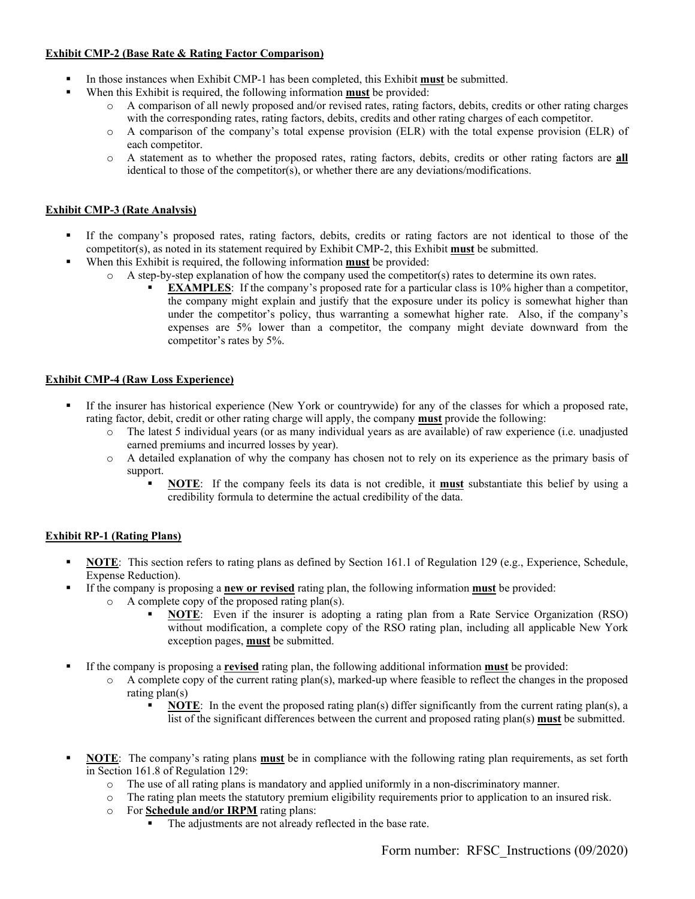# **Exhibit CMP-2 (Base Rate & Rating Factor Comparison)**

- In those instances when Exhibit CMP-1 has been completed, this Exhibit **must** be submitted.
- When this Exhibit is required, the following information **must** be provided:
	- o A comparison of all newly proposed and/or revised rates, rating factors, debits, credits or other rating charges with the corresponding rates, rating factors, debits, credits and other rating charges of each competitor.
	- o A comparison of the company's total expense provision (ELR) with the total expense provision (ELR) of each competitor.
	- o A statement as to whether the proposed rates, rating factors, debits, credits or other rating factors are **all**  identical to those of the competitor(s), or whether there are any deviations/modifications.

# **Exhibit CMP-3 (Rate Analysis)**

- If the company's proposed rates, rating factors, debits, credits or rating factors are not identical to those of the competitor(s), as noted in its statement required by Exhibit CMP-2, this Exhibit **must** be submitted.
- When this Exhibit is required, the following information **must** be provided:
	- $\circ$  A step-by-step explanation of how the company used the competitor(s) rates to determine its own rates.
		- **EXAMPLES**: If the company's proposed rate for a particular class is 10% higher than a competitor, the company might explain and justify that the exposure under its policy is somewhat higher than under the competitor's policy, thus warranting a somewhat higher rate. Also, if the company's expenses are 5% lower than a competitor, the company might deviate downward from the competitor's rates by 5%.

## **Exhibit CMP-4 (Raw Loss Experience)**

- If the insurer has historical experience (New York or countrywide) for any of the classes for which a proposed rate, rating factor, debit, credit or other rating charge will apply, the company **must** provide the following:
	- o The latest 5 individual years (or as many individual years as are available) of raw experience (i.e. unadjusted earned premiums and incurred losses by year).
	- o A detailed explanation of why the company has chosen not to rely on its experience as the primary basis of support.
		- **NOTE:** If the company feels its data is not credible, it **must** substantiate this belief by using a credibility formula to determine the actual credibility of the data.

## **Exhibit RP-1 (Rating Plans)**

- **NOTE**: This section refers to rating plans as defined by Section 161.1 of Regulation 129 (e.g., Experience, Schedule, Expense Reduction).
- If the company is proposing a **new or revised** rating plan, the following information **must** be provided:
	- o A complete copy of the proposed rating plan(s).
		- **NOTE**: Even if the insurer is adopting a rating plan from a Rate Service Organization (RSO) without modification, a complete copy of the RSO rating plan, including all applicable New York exception pages, **must** be submitted.
- If the company is proposing a **revised** rating plan, the following additional information **must** be provided:
	- o A complete copy of the current rating plan(s), marked-up where feasible to reflect the changes in the proposed rating plan(s)
		- **NOTE**: In the event the proposed rating plan(s) differ significantly from the current rating plan(s), a list of the significant differences between the current and proposed rating plan(s) **must** be submitted.
- **NOTE**: The company's rating plans **must** be in compliance with the following rating plan requirements, as set forth in Section 161.8 of Regulation 129:
	- o The use of all rating plans is mandatory and applied uniformly in a non-discriminatory manner.
	- o The rating plan meets the statutory premium eligibility requirements prior to application to an insured risk.
	- o For **Schedule and/or IRPM** rating plans:
		- The adjustments are not already reflected in the base rate.